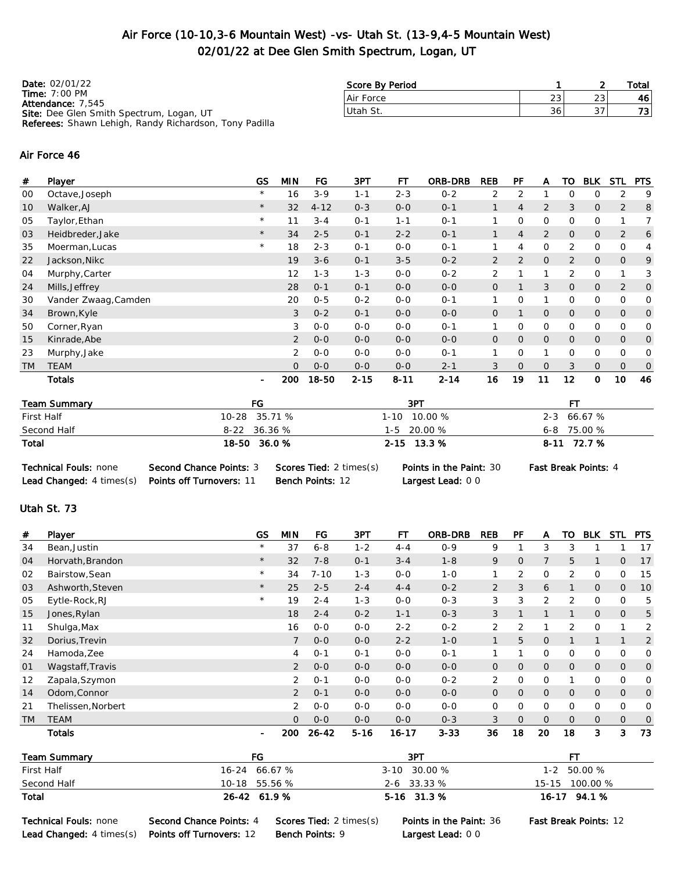### Air Force (10-10,3-6 Mountain West) -vs- Utah St. (13-9,4-5 Mountain West) 02/01/22 at Dee Glen Smith Spectrum, Logan, UT

| <b>Date: 02/01/22</b>                                         | Score By Period |     |    | Total |
|---------------------------------------------------------------|-----------------|-----|----|-------|
| Time: $7:00$ PM<br><b>Attendance: 7,545</b>                   | Air Force       | 231 | 23 | 461   |
| Site: Dee Glen Smith Spectrum, Logan, UT                      | Utah St.        | 36  | 37 | 73 I  |
| <b>Referees:</b> Shawn Lehigh, Randy Richardson, Tony Padilla |                 |     |    |       |

#### Air Force 46

| #         | Player               | GS             | <b>MIN</b>     | FG       | 3PT      | FТ       | ORB-DRB  | <b>REB</b>     | <b>PF</b>      | A              | то             | <b>BLK</b>     | <b>STL</b>     | <b>PTS</b>     |
|-----------|----------------------|----------------|----------------|----------|----------|----------|----------|----------------|----------------|----------------|----------------|----------------|----------------|----------------|
| 00        | Octave, Joseph       | $\star$        | 16             | $3 - 9$  | $1 - 1$  | $2 - 3$  | $0 - 2$  | 2              | 2              |                | O              | 0              | 2              | 9              |
| 10        | Walker, AJ           | $\star$        | 32             | $4 - 12$ | $0 - 3$  | $0 - 0$  | $O - 1$  |                | 4              | $\overline{2}$ | 3              | 0              | $\overline{2}$ | 8              |
| 05        | Taylor, Ethan        | $\star$        | 11             | $3 - 4$  | $0 - 1$  | $1 - 1$  | $0 - 1$  |                | 0              | $\Omega$       | $\Omega$       | 0              |                | 7              |
| 03        | Heidbreder, Jake     | $^{\star}$     | 34             | $2 - 5$  | $O - 1$  | $2 - 2$  | $O - 1$  |                | 4              | $\overline{2}$ | $\overline{O}$ | 0              | 2              | 6              |
| 35        | Moerman, Lucas       | $\star$        | 18             | $2 - 3$  | $0 - 1$  | $0 - 0$  | $0 - 1$  | 1.             | 4              | 0              | 2              | 0              | 0              | 4              |
| 22        | Jackson, Nikc        |                | 19             | $3 - 6$  | $0 - 1$  | $3 - 5$  | $0 - 2$  | $\overline{2}$ | $\overline{2}$ | $\mathbf{O}$   | $\overline{2}$ | 0              | 0              | 9              |
| 04        | Murphy, Carter       |                | 12             | $1 - 3$  | $1 - 3$  | $0 - 0$  | $0 - 2$  | $\overline{2}$ |                | 1              | 2              | 0              |                | 3              |
| 24        | Mills, Jeffrey       |                | 28             | $0 - 1$  | $0 - 1$  | $0 - 0$  | $O - O$  | 0              |                | 3              | $\overline{O}$ | 0              | $\overline{2}$ | $\overline{O}$ |
| 30        | Vander Zwaag, Camden |                | 20             | $0 - 5$  | $0 - 2$  | $O-O$    | $0 - 1$  | 1.             | $\Omega$       | 1              | 0              | 0              | 0              | 0              |
| 34        | Brown, Kyle          |                | 3              | $0 - 2$  | $0 - 1$  | $0 - 0$  | $O - O$  | $\mathsf{O}$   |                | $\overline{O}$ | $\overline{O}$ | $\mathsf{O}$   | $\overline{O}$ | $\overline{O}$ |
| 50        | Corner, Ryan         |                | 3              | $0 - 0$  | $0 - 0$  | $0 - 0$  | $0 - 1$  | 1.             | $\Omega$       | 0              | $\Omega$       | 0              | 0              | 0              |
| 15        | Kinrade, Abe         |                | $\overline{2}$ | $O-O$    | $0-0$    | $0-0$    | $O - O$  | $\mathsf{O}$   | $\overline{O}$ | $\mathsf{O}$   | $\overline{O}$ | $\mathsf{O}$   | $\overline{O}$ | $\mathbf{O}$   |
| 23        | Murphy, Jake         |                | $\overline{2}$ | $0 - 0$  | $0 - 0$  | $0 - 0$  | $0 - 1$  | $\mathbf{1}$   | 0              | 1              | 0              | 0              | 0              | 0              |
| <b>TM</b> | <b>TEAM</b>          |                | $\Omega$       | $0 - 0$  | $0 - 0$  | $0 - 0$  | $2 - 1$  | 3              | $\Omega$       | $\overline{O}$ | 3              | $\overline{O}$ | $\overline{O}$ | $\overline{O}$ |
|           | <b>Totals</b>        | $\blacksquare$ | 200            | 18-50    | $2 - 15$ | $8 - 11$ | $2 - 14$ | 16             | 19             | 11             | 12             | 0              | 10             | 46             |

| <b>Team Summary</b>             | FG                              |                                | 3PT                            |                             |
|---------------------------------|---------------------------------|--------------------------------|--------------------------------|-----------------------------|
| First Half                      | 10-28 35.71 %                   |                                | 1-10 10.00 %                   | 2-3 66.67 %                 |
| Second Half                     | $8-22$ 36.36 %                  |                                | $1-5$ 20.00 %                  | $6 - 8$ 75.00 %             |
| Total                           | 18-50 36.0 %                    |                                | $2 - 15$ 13.3 %                | 8-11 72.7 %                 |
| <b>Technical Fouls: none</b>    | <b>Second Chance Points: 3</b>  | <b>Scores Tied: 2 times(s)</b> | <b>Points in the Paint: 30</b> | <b>Fast Break Points: 4</b> |
| <b>Lead Changed:</b> 4 times(s) | <b>Points off Turnovers: 11</b> | <b>Bench Points: 12</b>        | Largest Lead: 00               |                             |

### Utah St. 73

| #         | Player                   | GS             | <b>MIN</b>     | FG        | 3PT      | FT        | ORB-DRB  | <b>REB</b>     | PF             | A              | TO             | <b>BLK</b>     | <b>STL</b>     | <b>PTS</b>     |
|-----------|--------------------------|----------------|----------------|-----------|----------|-----------|----------|----------------|----------------|----------------|----------------|----------------|----------------|----------------|
| 34        | Bean, Justin             | $\star$        | 37             | $6 - 8$   | $1 - 2$  | $4 - 4$   | $0 - 9$  | 9              |                | 3              | 3              |                |                | 17             |
| 04        | Horvath, Brandon         | $\star$        | 32             | $7 - 8$   | $0 - 1$  | $3 - 4$   | $1 - 8$  | 9              | 0              | $\overline{7}$ | 5              | 1              | 0              | 17             |
| 02        | Bairstow, Sean           | $\star$        | 34             | $7 - 10$  | $1 - 3$  | $O-O$     | $1 - 0$  |                | 2              | $\mathbf 0$    | 2              | 0              | 0              | 15             |
| 03        | Ashworth, Steven         | $\star$        | 25             | $2 - 5$   | $2 - 4$  | $4 - 4$   | $0 - 2$  | $\overline{2}$ | 3              | 6              |                | $\mathbf{O}$   | $\overline{O}$ | 10             |
| 05        | Eytle-Rock, RJ           | $\star$        | 19             | $2 - 4$   | $1 - 3$  | $0 - 0$   | $0 - 3$  | 3              | 3              | 2              | 2              | $\mathbf{O}$   | $\Omega$       | 5              |
| 15        | Jones, Rylan             |                | 18             | $2 - 4$   | $0 - 2$  | $1 - 1$   | $O - 3$  | 3              |                |                |                | $\mathbf{O}$   | $\mathbf 0$    | 5              |
| 11        | Shulga, Max              |                | 16             | $0 - 0$   | $0-0$    | $2 - 2$   | $0 - 2$  | $\overline{2}$ | 2              |                | 2              | $\mathbf 0$    |                | 2              |
| 32        | Dorius, Trevin           |                | $\overline{7}$ | $O-O$     | $0-0$    | $2 - 2$   | $1 - 0$  | $\mathbf{1}$   | 5              | $\overline{O}$ |                | 1              |                | $\overline{2}$ |
| 24        | Hamoda, Zee              |                | 4              | $O - 1$   | $0 - 1$  | $0 - 0$   | $0 - 1$  |                |                | 0              | 0              | $\circ$        | 0              | 0              |
| 01        | Wagstaff, Travis         |                | $\overline{2}$ | $O-O$     | $0-0$    | $0-0$     | $O-O$    | 0              | 0              | $\mathbf{O}$   | $\mathbf{O}$   | $\mathbf{O}$   | $\mathbf 0$    | $\overline{0}$ |
| 12        | Zapala, Szymon           |                | 2              | $0 - 1$   | $0-0$    | $0-0$     | $0 - 2$  | 2              | 0              | $\mathbf 0$    |                | $\mathbf 0$    | 0              | 0              |
| 14        | Odom, Connor             |                | 2              | $0 - 1$   | $0-0$    | $0 - 0$   | $O-O$    | 0              | $\overline{O}$ | $\mathbf{O}$   | $\overline{O}$ | $\mathbf{O}$   | $\mathbf 0$    | $\overline{0}$ |
| 21        | Thelissen, Norbert       |                | 2              | $0 - 0$   | $0 - 0$  | $0-0$     | $O-O$    | 0              | 0              | $\mathbf 0$    | 0              | 0              | 0              | 0              |
| <b>TM</b> | <b>TEAM</b>              |                | $\overline{O}$ | $O - O$   | $0-0$    | $0 - 0$   | $0 - 3$  | 3              | $\Omega$       | $\overline{O}$ | $\Omega$       | $\overline{O}$ | $\mathbf{0}$   | $\mathbf 0$    |
|           | Totals                   | $\blacksquare$ | 200            | $26 - 42$ | $5 - 16$ | $16 - 17$ | $3 - 33$ | 36             | 18             | 20             | 18             | 3              | 3              | 73             |
|           | Team Summary             | FG             |                |           |          | 3PT       |          |                |                |                | FT             |                |                |                |
|           | First Half<br>$16 - 24$  |                | 66.67 %        |           |          | $3 - 10$  | 30.00 %  |                |                | $1 - 2$        |                | 50.00 %        |                |                |
|           | Second Half<br>$10 - 18$ |                | 55.56 %        |           |          | $2 - 6$   | 33.33 %  |                |                | $15 - 15$      |                | 100.00 %       |                |                |

| Total | 26-42 61.9% | $5-16$ 31.3% | 16-17 94.1 % |
|-------|-------------|--------------|--------------|
|       |             |              |              |

Lead Changed: 4 times(s) Points off Turnovers: 12 Bench Points: 9 Largest Lead: 0 0

Technical Fouls: none Second Chance Points: 4 Scores Tied: 2 times(s) Points in the Paint: 36 Fast Break Points: 12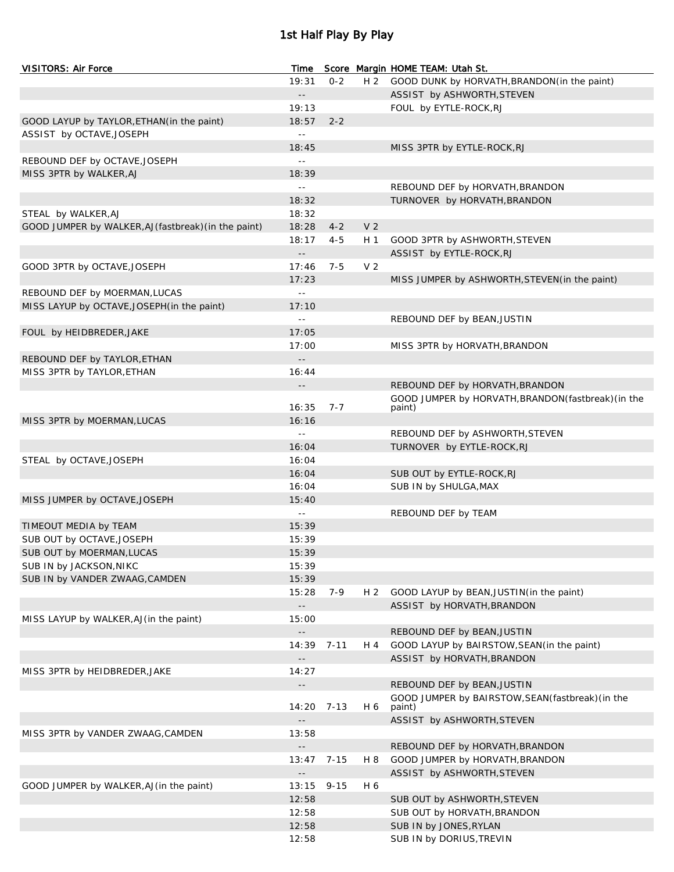# 1st Half Play By Play

| <b>VISITORS: Air Force</b>                           | Time                       |          |                | Score Margin HOME TEAM: Utah St.                    |
|------------------------------------------------------|----------------------------|----------|----------------|-----------------------------------------------------|
|                                                      | 19:31                      | $0 - 2$  |                | H 2 GOOD DUNK by HORVATH, BRANDON (in the paint)    |
|                                                      | $\overline{\phantom{a}}$ . |          |                | ASSIST by ASHWORTH, STEVEN                          |
|                                                      | 19:13                      |          |                | FOUL by EYTLE-ROCK, RJ                              |
| GOOD LAYUP by TAYLOR, ETHAN (in the paint)           | 18:57                      | $2 - 2$  |                |                                                     |
| ASSIST by OCTAVE, JOSEPH                             | $\perp$ $\perp$            |          |                |                                                     |
|                                                      | 18:45                      |          |                | MISS 3PTR by EYTLE-ROCK, RJ                         |
| REBOUND DEF by OCTAVE, JOSEPH                        | $\equiv$ $\equiv$          |          |                |                                                     |
| MISS 3PTR by WALKER, AJ                              | 18:39                      |          |                |                                                     |
|                                                      | $\sim$ $\sim$              |          |                | REBOUND DEF by HORVATH, BRANDON                     |
|                                                      | 18:32                      |          |                | TURNOVER by HORVATH, BRANDON                        |
| STEAL by WALKER, AJ                                  | 18:32                      |          |                |                                                     |
| GOOD JUMPER by WALKER, AJ (fastbreak) (in the paint) | 18:28                      | $4 - 2$  | V <sub>2</sub> |                                                     |
|                                                      | 18:17                      | $4 - 5$  | H 1            | GOOD 3PTR by ASHWORTH, STEVEN                       |
|                                                      | $\overline{\phantom{a}}$ . |          |                | ASSIST by EYTLE-ROCK, RJ                            |
| GOOD 3PTR by OCTAVE, JOSEPH                          | 17:46                      | $7 - 5$  | V <sub>2</sub> |                                                     |
|                                                      | 17:23                      |          |                | MISS JUMPER by ASHWORTH, STEVEN (in the paint)      |
| REBOUND DEF by MOERMAN, LUCAS                        | $\sim$ $-$                 |          |                |                                                     |
| MISS LAYUP by OCTAVE, JOSEPH (in the paint)          | 17:10                      |          |                |                                                     |
|                                                      | $\sim$ $\sim$              |          |                | REBOUND DEF by BEAN, JUSTIN                         |
| FOUL by HEIDBREDER, JAKE                             | 17:05                      |          |                |                                                     |
|                                                      | 17:00                      |          |                | MISS 3PTR by HORVATH, BRANDON                       |
| REBOUND DEF by TAYLOR, ETHAN                         | $\sim$ $-$                 |          |                |                                                     |
| MISS 3PTR by TAYLOR, ETHAN                           | 16:44                      |          |                |                                                     |
|                                                      | $- -$                      |          |                | REBOUND DEF by HORVATH, BRANDON                     |
|                                                      |                            |          |                | GOOD JUMPER by HORVATH, BRANDON (fastbreak) (in the |
|                                                      | 16:35                      | $7 - 7$  |                | paint)                                              |
| MISS 3PTR by MOERMAN, LUCAS                          | 16:16                      |          |                |                                                     |
|                                                      | $\sim$ $-$                 |          |                | REBOUND DEF by ASHWORTH, STEVEN                     |
|                                                      | 16:04                      |          |                | TURNOVER by EYTLE-ROCK, RJ                          |
| STEAL by OCTAVE, JOSEPH                              | 16:04                      |          |                |                                                     |
|                                                      | 16:04                      |          |                | SUB OUT by EYTLE-ROCK, RJ                           |
|                                                      | 16:04                      |          |                | SUB IN by SHULGA, MAX                               |
| MISS JUMPER by OCTAVE, JOSEPH                        | 15:40                      |          |                |                                                     |
|                                                      | $\sim$ $-$                 |          |                | REBOUND DEF by TEAM                                 |
| TIMEOUT MEDIA by TEAM                                | 15:39                      |          |                |                                                     |
| SUB OUT by OCTAVE, JOSEPH                            | 15:39                      |          |                |                                                     |
| SUB OUT by MOERMAN, LUCAS                            | 15:39                      |          |                |                                                     |
| SUB IN by JACKSON, NIKC                              | 15:39                      |          |                |                                                     |
| SUB IN by VANDER ZWAAG, CAMDEN                       | 15:39                      |          |                |                                                     |
|                                                      | 15:28                      | 7-9      | H <sub>2</sub> | GOOD LAYUP by BEAN, JUSTIN(in the paint)            |
|                                                      |                            |          |                | ASSIST by HORVATH, BRANDON                          |
| MISS LAYUP by WALKER, AJ (in the paint)              | 15:00                      |          |                |                                                     |
|                                                      |                            |          |                | REBOUND DEF by BEAN, JUSTIN                         |
|                                                      | $14:39$ 7-11               |          | H 4            | GOOD LAYUP by BAIRSTOW, SEAN (in the paint)         |
|                                                      |                            |          |                | ASSIST by HORVATH, BRANDON                          |
| MISS 3PTR by HEIDBREDER, JAKE                        | 14:27                      |          |                |                                                     |
|                                                      | $\overline{\phantom{a}}$ . |          |                | REBOUND DEF by BEAN, JUSTIN                         |
|                                                      |                            |          |                | GOOD JUMPER by BAIRSTOW, SEAN (fastbreak) (in the   |
|                                                      | 14:20                      | 7-13     | H 6            | paint)                                              |
|                                                      | $\overline{\phantom{a}}$ . |          |                | ASSIST by ASHWORTH, STEVEN                          |
| MISS 3PTR by VANDER ZWAAG, CAMDEN                    | 13:58                      |          |                |                                                     |
|                                                      | $\overline{\phantom{a}}$ . |          |                | REBOUND DEF by HORVATH, BRANDON                     |
|                                                      | 13:47                      | 7-15     | H 8            | GOOD JUMPER by HORVATH, BRANDON                     |
|                                                      | --                         |          |                | ASSIST by ASHWORTH, STEVEN                          |
| GOOD JUMPER by WALKER, AJ (in the paint)             | 13:15                      | $9 - 15$ | H 6            |                                                     |
|                                                      | 12:58                      |          |                | SUB OUT by ASHWORTH, STEVEN                         |
|                                                      | 12:58                      |          |                | SUB OUT by HORVATH, BRANDON                         |
|                                                      | 12:58                      |          |                | SUB IN by JONES, RYLAN                              |
|                                                      | 12:58                      |          |                | SUB IN by DORIUS, TREVIN                            |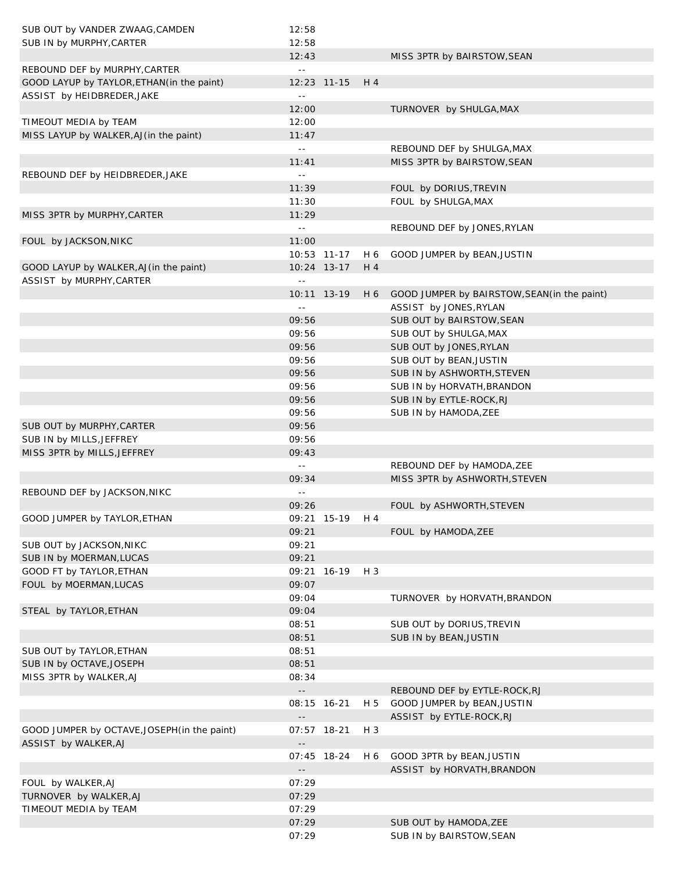| SUB OUT by VANDER ZWAAG, CAMDEN              | 12:58                      |                |       |                                                  |
|----------------------------------------------|----------------------------|----------------|-------|--------------------------------------------------|
| SUB IN by MURPHY, CARTER                     | 12:58                      |                |       |                                                  |
|                                              | 12:43                      |                |       | MISS 3PTR by BAIRSTOW, SEAN                      |
| REBOUND DEF by MURPHY, CARTER                | $\perp$ $\perp$            |                |       |                                                  |
| GOOD LAYUP by TAYLOR, ETHAN (in the paint)   |                            | 12:23 11-15    | H 4   |                                                  |
| ASSIST by HEIDBREDER, JAKE                   | $\perp$ $\perp$            |                |       |                                                  |
|                                              | 12:00                      |                |       | TURNOVER by SHULGA, MAX                          |
| TIMEOUT MEDIA by TEAM                        | 12:00                      |                |       |                                                  |
| MISS LAYUP by WALKER, AJ (in the paint)      | 11:47                      |                |       |                                                  |
|                                              | $\sim$ $\sim$              |                |       | REBOUND DEF by SHULGA, MAX                       |
|                                              | 11:41                      |                |       | MISS 3PTR by BAIRSTOW, SEAN                      |
| REBOUND DEF by HEIDBREDER, JAKE              | $\sim$ $-$                 |                |       |                                                  |
|                                              | 11:39                      |                |       | FOUL by DORIUS, TREVIN                           |
|                                              | 11:30                      |                |       | FOUL by SHULGA, MAX                              |
| MISS 3PTR by MURPHY, CARTER                  | 11:29                      |                |       |                                                  |
|                                              | $\sim$ $-$                 |                |       | REBOUND DEF by JONES, RYLAN                      |
| FOUL by JACKSON, NIKC                        | 11:00                      |                |       |                                                  |
|                                              |                            | 10:53 11-17    | H 6   | GOOD JUMPER by BEAN, JUSTIN                      |
| GOOD LAYUP by WALKER, AJ (in the paint)      |                            | 10:24 13-17    | H 4   |                                                  |
| ASSIST by MURPHY, CARTER                     | $\perp$ $\perp$            |                |       |                                                  |
|                                              |                            | 10:11 13-19    |       | H 6 GOOD JUMPER by BAIRSTOW, SEAN (in the paint) |
|                                              | $\sim$ $\sim$              |                |       | ASSIST by JONES, RYLAN                           |
|                                              | 09:56                      |                |       | SUB OUT by BAIRSTOW, SEAN                        |
|                                              | 09:56                      |                |       | SUB OUT by SHULGA, MAX                           |
|                                              | 09:56                      |                |       | SUB OUT by JONES, RYLAN                          |
|                                              | 09:56                      |                |       | SUB OUT by BEAN, JUSTIN                          |
|                                              | 09:56                      |                |       | SUB IN by ASHWORTH, STEVEN                       |
|                                              | 09:56                      |                |       | SUB IN by HORVATH, BRANDON                       |
|                                              | 09:56                      |                |       | SUB IN by EYTLE-ROCK, RJ                         |
|                                              | 09:56                      |                |       | SUB IN by HAMODA, ZEE                            |
| SUB OUT by MURPHY, CARTER                    | 09:56                      |                |       |                                                  |
| SUB IN by MILLS, JEFFREY                     | 09:56                      |                |       |                                                  |
| MISS 3PTR by MILLS, JEFFREY                  | 09:43<br>$\sim$ $\sim$     |                |       |                                                  |
|                                              | 09:34                      |                |       | REBOUND DEF by HAMODA, ZEE                       |
| REBOUND DEF by JACKSON, NIKC                 | $\sim$ $\sim$              |                |       | MISS 3PTR by ASHWORTH, STEVEN                    |
|                                              | 09:26                      |                |       | FOUL by ASHWORTH, STEVEN                         |
| GOOD JUMPER by TAYLOR, ETHAN                 |                            | 09:21 15-19 H4 |       |                                                  |
|                                              | 09:21                      |                |       | FOUL by HAMODA, ZEE                              |
| SUB OUT by JACKSON, NIKC                     | 09:21                      |                |       |                                                  |
| SUB IN by MOERMAN, LUCAS                     | 09:21                      |                |       |                                                  |
| GOOD FT by TAYLOR, ETHAN                     |                            | 09:21 16-19    | $H_3$ |                                                  |
| FOUL by MOERMAN, LUCAS                       | 09:07                      |                |       |                                                  |
|                                              | 09:04                      |                |       | TURNOVER by HORVATH, BRANDON                     |
| STEAL by TAYLOR, ETHAN                       | 09:04                      |                |       |                                                  |
|                                              | 08:51                      |                |       | SUB OUT by DORIUS, TREVIN                        |
|                                              | 08:51                      |                |       | SUB IN by BEAN, JUSTIN                           |
| SUB OUT by TAYLOR, ETHAN                     | 08:51                      |                |       |                                                  |
| SUB IN by OCTAVE, JOSEPH                     | 08:51                      |                |       |                                                  |
| MISS 3PTR by WALKER, AJ                      | 08:34                      |                |       |                                                  |
|                                              | $\sim$ $-$                 |                |       | REBOUND DEF by EYTLE-ROCK, RJ                    |
|                                              |                            | 08:15 16-21    | H 5   | GOOD JUMPER by BEAN, JUSTIN                      |
|                                              | $\overline{\phantom{a}}$ . |                |       | ASSIST by EYTLE-ROCK, RJ                         |
| GOOD JUMPER by OCTAVE, JOSEPH (in the paint) |                            | 07:57 18-21    | H 3   |                                                  |
| ASSIST by WALKER, AJ                         | $\Box$                     |                |       |                                                  |
|                                              |                            | 07:45 18-24    | H 6   | GOOD 3PTR by BEAN, JUSTIN                        |
|                                              | $\overline{\phantom{a}}$ . |                |       | ASSIST by HORVATH, BRANDON                       |
| FOUL by WALKER, AJ                           | 07:29                      |                |       |                                                  |
| TURNOVER by WALKER, AJ                       | 07:29                      |                |       |                                                  |
| TIMEOUT MEDIA by TEAM                        | 07:29                      |                |       |                                                  |
|                                              | 07:29                      |                |       | SUB OUT by HAMODA, ZEE                           |
|                                              | 07:29                      |                |       | SUB IN by BAIRSTOW, SEAN                         |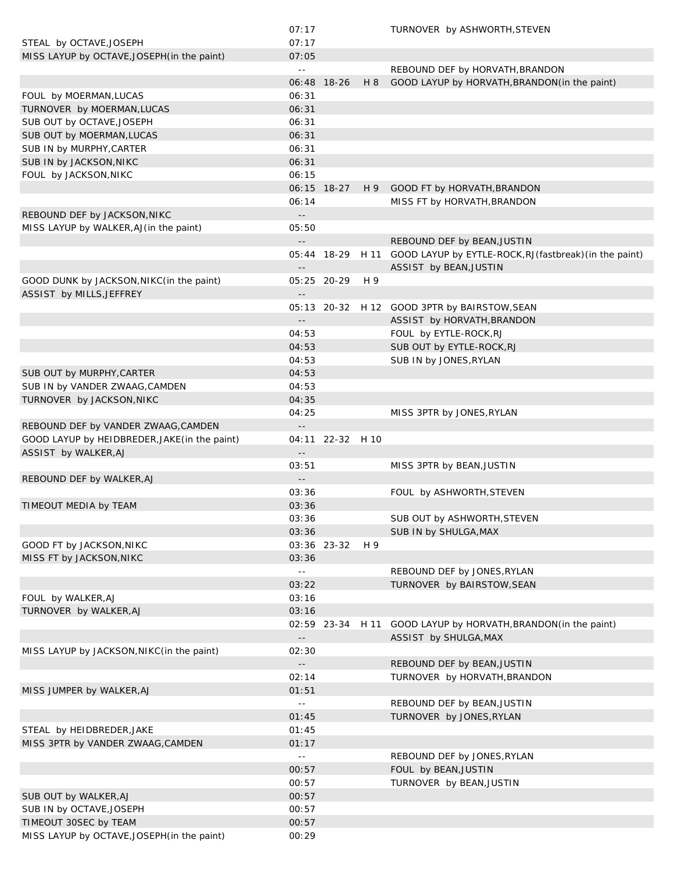|                                               | 07:17                      |                  |     | TURNOVER by ASHWORTH, STEVEN                                             |
|-----------------------------------------------|----------------------------|------------------|-----|--------------------------------------------------------------------------|
| STEAL by OCTAVE, JOSEPH                       | 07:17                      |                  |     |                                                                          |
| MISS LAYUP by OCTAVE, JOSEPH (in the paint)   | 07:05                      |                  |     |                                                                          |
|                                               | $\sim$ $\sim$              |                  |     | REBOUND DEF by HORVATH, BRANDON                                          |
|                                               |                            | 06:48 18-26      | H 8 | GOOD LAYUP by HORVATH, BRANDON (in the paint)                            |
|                                               |                            |                  |     |                                                                          |
| FOUL by MOERMAN, LUCAS                        | 06:31                      |                  |     |                                                                          |
| TURNOVER by MOERMAN, LUCAS                    | 06:31                      |                  |     |                                                                          |
| SUB OUT by OCTAVE, JOSEPH                     | 06:31                      |                  |     |                                                                          |
| SUB OUT by MOERMAN, LUCAS                     | 06:31                      |                  |     |                                                                          |
| SUB IN by MURPHY, CARTER                      | 06:31                      |                  |     |                                                                          |
| SUB IN by JACKSON, NIKC                       | 06:31                      |                  |     |                                                                          |
| FOUL by JACKSON, NIKC                         | 06:15                      |                  |     |                                                                          |
|                                               |                            |                  |     |                                                                          |
|                                               |                            | 06:15 18-27      | H 9 | GOOD FT by HORVATH, BRANDON                                              |
|                                               | 06:14                      |                  |     | MISS FT by HORVATH, BRANDON                                              |
| REBOUND DEF by JACKSON, NIKC                  | $\sim$ $-$                 |                  |     |                                                                          |
| MISS LAYUP by WALKER, AJ (in the paint)       | 05:50                      |                  |     |                                                                          |
|                                               | $\sim$ $-$                 |                  |     | REBOUND DEF by BEAN, JUSTIN                                              |
|                                               |                            |                  |     | 05:44 18-29 H 11 GOOD LAYUP by EYTLE-ROCK, RJ (fastbreak) (in the paint) |
|                                               | $ -$                       |                  |     | ASSIST by BEAN, JUSTIN                                                   |
|                                               |                            |                  |     |                                                                          |
| GOOD DUNK by JACKSON, NIKC(in the paint)      |                            | 05:25 20-29      | H 9 |                                                                          |
| ASSIST by MILLS, JEFFREY                      | $\overline{\phantom{a}}$ . |                  |     |                                                                          |
|                                               |                            |                  |     | 05:13 20-32 H 12 GOOD 3PTR by BAIRSTOW, SEAN                             |
|                                               | $\overline{\phantom{a}}$ . |                  |     | ASSIST by HORVATH, BRANDON                                               |
|                                               | 04:53                      |                  |     | FOUL by EYTLE-ROCK, RJ                                                   |
|                                               | 04:53                      |                  |     | SUB OUT by EYTLE-ROCK, RJ                                                |
|                                               | 04:53                      |                  |     | SUB IN by JONES, RYLAN                                                   |
|                                               |                            |                  |     |                                                                          |
| SUB OUT by MURPHY, CARTER                     | 04:53                      |                  |     |                                                                          |
| SUB IN by VANDER ZWAAG, CAMDEN                | 04:53                      |                  |     |                                                                          |
| TURNOVER by JACKSON, NIKC                     | 04:35                      |                  |     |                                                                          |
|                                               | 04:25                      |                  |     | MISS 3PTR by JONES, RYLAN                                                |
| REBOUND DEF by VANDER ZWAAG, CAMDEN           | $\overline{\phantom{a}}$ . |                  |     |                                                                          |
| GOOD LAYUP by HEIDBREDER, JAKE (in the paint) |                            | 04:11 22-32 H 10 |     |                                                                          |
| ASSIST by WALKER, AJ                          | $ -$                       |                  |     |                                                                          |
|                                               |                            |                  |     |                                                                          |
|                                               | 03:51                      |                  |     | MISS 3PTR by BEAN, JUSTIN                                                |
| REBOUND DEF by WALKER, AJ                     |                            |                  |     |                                                                          |
|                                               | 03:36                      |                  |     | FOUL by ASHWORTH, STEVEN                                                 |
| TIMEOUT MEDIA by TEAM                         | 03:36                      |                  |     |                                                                          |
|                                               | 03:36                      |                  |     | SUB OUT by ASHWORTH, STEVEN                                              |
|                                               | 03:36                      |                  |     | SUB IN by SHULGA, MAX                                                    |
| GOOD FT by JACKSON, NIKC                      |                            | 03:36 23-32      | H 9 |                                                                          |
|                                               | 03:36                      |                  |     |                                                                          |
| MISS FT by JACKSON, NIKC                      |                            |                  |     |                                                                          |
|                                               | $\sim$ $\sim$              |                  |     | REBOUND DEF by JONES, RYLAN                                              |
|                                               | 03:22                      |                  |     | TURNOVER by BAIRSTOW, SEAN                                               |
| FOUL by WALKER, AJ                            | 03:16                      |                  |     |                                                                          |
| TURNOVER by WALKER, AJ                        | 03:16                      |                  |     |                                                                          |
|                                               |                            | 02:59 23-34 H 11 |     | GOOD LAYUP by HORVATH, BRANDON (in the paint)                            |
|                                               |                            |                  |     | ASSIST by SHULGA, MAX                                                    |
| MISS LAYUP by JACKSON, NIKC(in the paint)     | 02:30                      |                  |     |                                                                          |
|                                               |                            |                  |     |                                                                          |
|                                               | $\sim$ $-$                 |                  |     | REBOUND DEF by BEAN, JUSTIN                                              |
|                                               | 02:14                      |                  |     | TURNOVER by HORVATH, BRANDON                                             |
| MISS JUMPER by WALKER, AJ                     | 01:51                      |                  |     |                                                                          |
|                                               | $\sim$ $\sim$              |                  |     | REBOUND DEF by BEAN, JUSTIN                                              |
|                                               | 01:45                      |                  |     | TURNOVER by JONES, RYLAN                                                 |
| STEAL by HEIDBREDER, JAKE                     | 01:45                      |                  |     |                                                                          |
|                                               |                            |                  |     |                                                                          |
| MISS 3PTR by VANDER ZWAAG, CAMDEN             | 01:17                      |                  |     |                                                                          |
|                                               | $\sim$ $\sim$              |                  |     | REBOUND DEF by JONES, RYLAN                                              |
|                                               | 00:57                      |                  |     | FOUL by BEAN, JUSTIN                                                     |
|                                               | 00:57                      |                  |     | TURNOVER by BEAN, JUSTIN                                                 |
| SUB OUT by WALKER, AJ                         | 00:57                      |                  |     |                                                                          |
| SUB IN by OCTAVE, JOSEPH                      | 00:57                      |                  |     |                                                                          |
| TIMEOUT 30SEC by TEAM                         | 00:57                      |                  |     |                                                                          |
| MISS LAYUP by OCTAVE, JOSEPH (in the paint)   | 00:29                      |                  |     |                                                                          |
|                                               |                            |                  |     |                                                                          |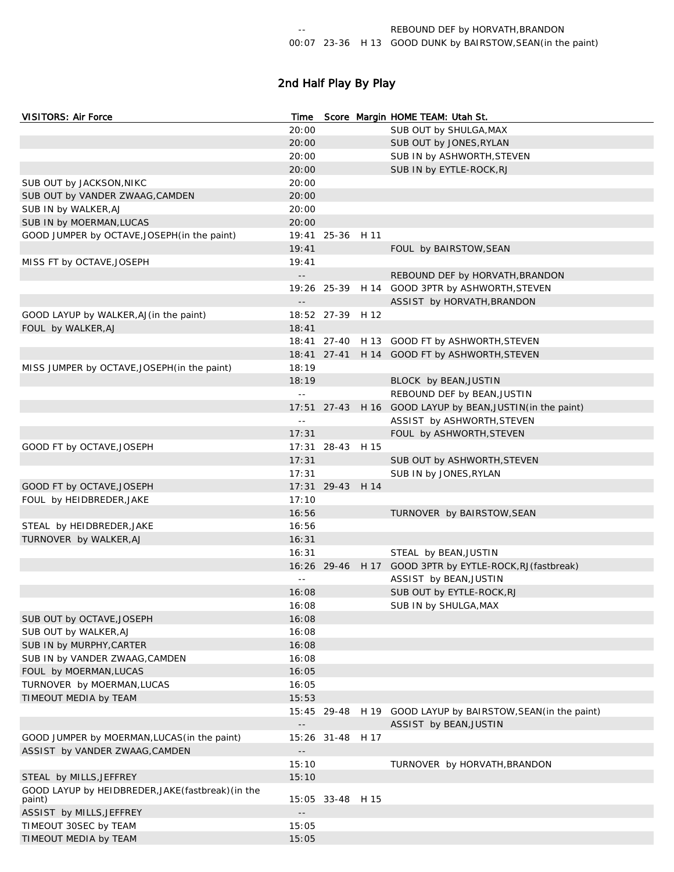# 2nd Half Play By Play

| <b>VISITORS: Air Force</b>                         | Time                                          |                  | Score Margin HOME TEAM: Utah St.                             |
|----------------------------------------------------|-----------------------------------------------|------------------|--------------------------------------------------------------|
|                                                    | 20:00                                         |                  | SUB OUT by SHULGA, MAX                                       |
|                                                    | 20:00                                         |                  | SUB OUT by JONES, RYLAN                                      |
|                                                    | 20:00                                         |                  | SUB IN by ASHWORTH, STEVEN                                   |
|                                                    | 20:00                                         |                  | SUB IN by EYTLE-ROCK, RJ                                     |
| SUB OUT by JACKSON, NIKC                           | 20:00                                         |                  |                                                              |
| SUB OUT by VANDER ZWAAG, CAMDEN                    | 20:00                                         |                  |                                                              |
| SUB IN by WALKER, AJ                               | 20:00                                         |                  |                                                              |
| SUB IN by MOERMAN, LUCAS                           | 20:00                                         |                  |                                                              |
| GOOD JUMPER by OCTAVE, JOSEPH (in the paint)       |                                               | 19:41 25-36 H 11 |                                                              |
|                                                    | 19:41                                         |                  | FOUL by BAIRSTOW, SEAN                                       |
| MISS FT by OCTAVE, JOSEPH                          | 19:41                                         |                  |                                                              |
|                                                    | $\mathbb{L} \mathbb{L}$                       |                  | REBOUND DEF by HORVATH, BRANDON                              |
|                                                    |                                               |                  | 19:26 25-39 H 14 GOOD 3PTR by ASHWORTH, STEVEN               |
|                                                    | $\mathord{\hspace{1pt}\text{--}\hspace{1pt}}$ |                  | ASSIST by HORVATH, BRANDON                                   |
| GOOD LAYUP by WALKER, AJ (in the paint)            |                                               | 18:52 27-39 H 12 |                                                              |
| FOUL by WALKER, AJ                                 | 18:41                                         |                  |                                                              |
|                                                    |                                               |                  | 18:41 27-40 H 13 GOOD FT by ASHWORTH, STEVEN                 |
|                                                    |                                               |                  | 18:41 27-41 H 14 GOOD FT by ASHWORTH, STEVEN                 |
| MISS JUMPER by OCTAVE, JOSEPH (in the paint)       | 18:19                                         |                  |                                                              |
|                                                    | 18:19                                         |                  | BLOCK by BEAN, JUSTIN                                        |
|                                                    | $\omega$ $\omega$                             |                  | REBOUND DEF by BEAN, JUSTIN                                  |
|                                                    |                                               |                  | 17:51 27-43 H 16 GOOD LAYUP by BEAN, JUSTIN (in the paint)   |
|                                                    | $\sim$ $-$                                    |                  | ASSIST by ASHWORTH, STEVEN                                   |
|                                                    | 17:31                                         |                  | FOUL by ASHWORTH, STEVEN                                     |
| GOOD FT by OCTAVE, JOSEPH                          |                                               | 17:31 28-43 H 15 |                                                              |
|                                                    | 17:31                                         |                  | SUB OUT by ASHWORTH, STEVEN                                  |
|                                                    | 17:31                                         |                  | SUB IN by JONES, RYLAN                                       |
| GOOD FT by OCTAVE, JOSEPH                          |                                               | 17:31 29-43 H 14 |                                                              |
| FOUL by HEIDBREDER, JAKE                           | 17:10                                         |                  |                                                              |
|                                                    | 16:56                                         |                  | TURNOVER by BAIRSTOW, SEAN                                   |
| STEAL by HEIDBREDER, JAKE                          | 16:56                                         |                  |                                                              |
| TURNOVER by WALKER, AJ                             | 16:31                                         |                  |                                                              |
|                                                    | 16:31                                         |                  | STEAL by BEAN, JUSTIN                                        |
|                                                    |                                               |                  | 16:26 29-46 H 17 GOOD 3PTR by EYTLE-ROCK, RJ (fastbreak)     |
|                                                    | $\sim$ $-$                                    |                  | ASSIST by BEAN, JUSTIN                                       |
|                                                    | 16:08                                         |                  | SUB OUT by EYTLE-ROCK, RJ                                    |
|                                                    | 16:08                                         |                  | SUB IN by SHULGA, MAX                                        |
| SUB OUT by OCTAVE, JOSEPH                          | 16:08                                         |                  |                                                              |
| SUB OUT by WALKER, AJ                              | 16:08                                         |                  |                                                              |
| SUB IN by MURPHY, CARTER                           | 16:08                                         |                  |                                                              |
| SUB IN by VANDER ZWAAG, CAMDEN                     | 16:08                                         |                  |                                                              |
| FOUL by MOERMAN, LUCAS                             | 16:05                                         |                  |                                                              |
| TURNOVER by MOERMAN, LUCAS                         | 16:05                                         |                  |                                                              |
| TIMEOUT MEDIA by TEAM                              | 15:53                                         |                  |                                                              |
|                                                    |                                               |                  | 15:45 29-48 H 19 GOOD LAYUP by BAIRSTOW, SEAN (in the paint) |
|                                                    | $\overline{\phantom{a}}$ .                    |                  | ASSIST by BEAN, JUSTIN                                       |
| GOOD JUMPER by MOERMAN, LUCAS (in the paint)       |                                               | 15:26 31-48 H 17 |                                                              |
| ASSIST by VANDER ZWAAG, CAMDEN                     |                                               |                  |                                                              |
|                                                    | 15:10                                         |                  | TURNOVER by HORVATH, BRANDON                                 |
| STEAL by MILLS, JEFFREY                            | 15:10                                         |                  |                                                              |
| GOOD LAYUP by HEIDBREDER, JAKE (fastbreak) (in the |                                               |                  |                                                              |
| paint)                                             |                                               | 15:05 33-48 H 15 |                                                              |
| ASSIST by MILLS, JEFFREY                           | $\overline{\phantom{a}}$ .                    |                  |                                                              |
| TIMEOUT 30SEC by TEAM                              | 15:05                                         |                  |                                                              |
| TIMEOUT MEDIA by TEAM                              | 15:05                                         |                  |                                                              |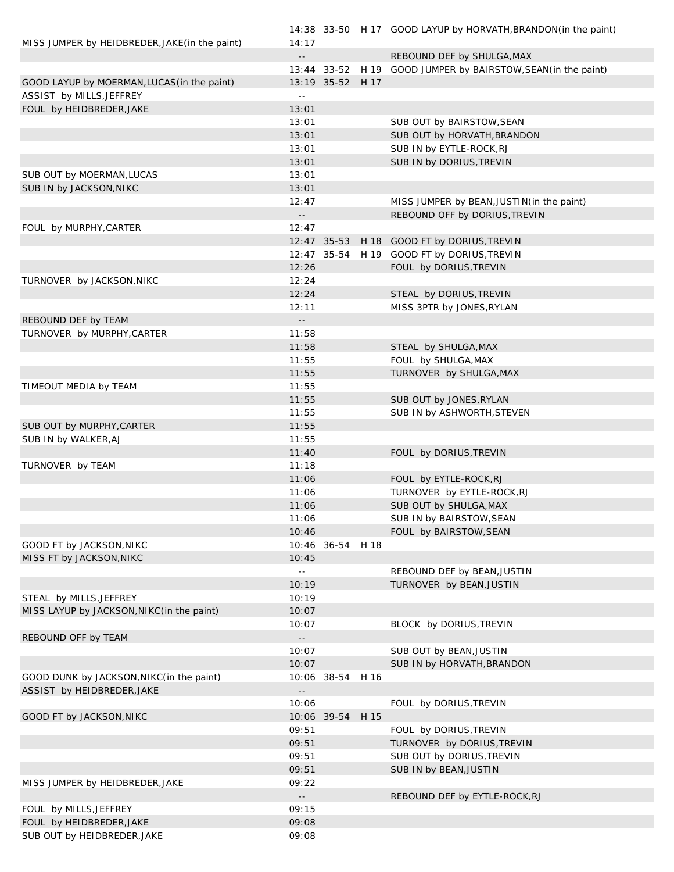|                                                |                            |                  | 14:38 33-50 H 17 GOOD LAYUP by HORVATH, BRANDON (in the paint) |
|------------------------------------------------|----------------------------|------------------|----------------------------------------------------------------|
| MISS JUMPER by HEIDBREDER, JAKE (in the paint) | 14:17                      |                  |                                                                |
|                                                | $\overline{\phantom{a}}$ . |                  | REBOUND DEF by SHULGA, MAX                                     |
|                                                |                            |                  | 13:44 33-52 H 19 GOOD JUMPER by BAIRSTOW, SEAN (in the paint)  |
| GOOD LAYUP by MOERMAN, LUCAS (in the paint)    |                            | 13:19 35-52 H 17 |                                                                |
| ASSIST by MILLS, JEFFREY                       | $\sim$ $\sim$              |                  |                                                                |
| FOUL by HEIDBREDER, JAKE                       | 13:01                      |                  |                                                                |
|                                                | 13:01                      |                  | SUB OUT by BAIRSTOW, SEAN                                      |
|                                                | 13:01                      |                  | SUB OUT by HORVATH, BRANDON                                    |
|                                                | 13:01                      |                  | SUB IN by EYTLE-ROCK, RJ                                       |
|                                                | 13:01                      |                  | SUB IN by DORIUS, TREVIN                                       |
| SUB OUT by MOERMAN, LUCAS                      | 13:01                      |                  |                                                                |
| SUB IN by JACKSON, NIKC                        | 13:01                      |                  |                                                                |
|                                                | 12:47                      |                  | MISS JUMPER by BEAN, JUSTIN (in the paint)                     |
|                                                | $\overline{\phantom{a}}$ . |                  | REBOUND OFF by DORIUS, TREVIN                                  |
| FOUL by MURPHY, CARTER                         | 12:47                      |                  |                                                                |
|                                                |                            |                  | 12:47 35-53 H 18 GOOD FT by DORIUS, TREVIN                     |
|                                                |                            |                  | 12:47 35-54 H 19 GOOD FT by DORIUS, TREVIN                     |
|                                                | 12:26                      |                  |                                                                |
|                                                |                            |                  | FOUL by DORIUS, TREVIN                                         |
| TURNOVER by JACKSON, NIKC                      | 12:24                      |                  |                                                                |
|                                                | 12:24                      |                  | STEAL by DORIUS, TREVIN                                        |
|                                                | 12:11                      |                  | MISS 3PTR by JONES, RYLAN                                      |
| REBOUND DEF by TEAM                            | $\overline{\phantom{a}}$ . |                  |                                                                |
| TURNOVER by MURPHY, CARTER                     | 11:58                      |                  |                                                                |
|                                                | 11:58                      |                  | STEAL by SHULGA, MAX                                           |
|                                                | 11:55                      |                  | FOUL by SHULGA, MAX                                            |
|                                                | 11:55                      |                  | TURNOVER by SHULGA, MAX                                        |
| TIMEOUT MEDIA by TEAM                          | 11:55                      |                  |                                                                |
|                                                | 11:55                      |                  | SUB OUT by JONES, RYLAN                                        |
|                                                | 11:55                      |                  | SUB IN by ASHWORTH, STEVEN                                     |
| SUB OUT by MURPHY, CARTER                      | 11:55                      |                  |                                                                |
| SUB IN by WALKER, AJ                           | 11:55                      |                  |                                                                |
|                                                | 11:40                      |                  | FOUL by DORIUS, TREVIN                                         |
| TURNOVER by TEAM                               | 11:18                      |                  |                                                                |
|                                                | 11:06                      |                  | FOUL by EYTLE-ROCK, RJ                                         |
|                                                | 11:06                      |                  | TURNOVER by EYTLE-ROCK, RJ                                     |
|                                                | 11:06                      |                  | SUB OUT by SHULGA, MAX                                         |
|                                                | 11:06                      |                  | SUB IN by BAIRSTOW, SEAN                                       |
|                                                | 10:46                      |                  | FOUL by BAIRSTOW, SEAN                                         |
| GOOD FT by JACKSON, NIKC                       |                            | 10:46 36-54 H 18 |                                                                |
| MISS FT by JACKSON, NIKC                       | 10:45                      |                  |                                                                |
|                                                | $\sim$ $-$                 |                  | REBOUND DEF by BEAN, JUSTIN                                    |
|                                                | 10:19                      |                  | TURNOVER by BEAN, JUSTIN                                       |
| STEAL by MILLS, JEFFREY                        | 10:19                      |                  |                                                                |
| MISS LAYUP by JACKSON, NIKC(in the paint)      | 10:07                      |                  |                                                                |
|                                                | 10:07                      |                  | BLOCK by DORIUS, TREVIN                                        |
| REBOUND OFF by TEAM                            |                            |                  |                                                                |
|                                                | 10:07                      |                  | SUB OUT by BEAN, JUSTIN                                        |
|                                                | 10:07                      |                  | SUB IN by HORVATH, BRANDON                                     |
| GOOD DUNK by JACKSON, NIKC(in the paint)       |                            | 10:06 38-54 H 16 |                                                                |
| ASSIST by HEIDBREDER, JAKE                     |                            |                  |                                                                |
|                                                | 10:06                      |                  | FOUL by DORIUS, TREVIN                                         |
| GOOD FT by JACKSON, NIKC                       |                            | 10:06 39-54 H 15 |                                                                |
|                                                | 09:51                      |                  | FOUL by DORIUS, TREVIN                                         |
|                                                | 09:51                      |                  | TURNOVER by DORIUS, TREVIN                                     |
|                                                | 09:51                      |                  | SUB OUT by DORIUS, TREVIN                                      |
|                                                | 09:51                      |                  | SUB IN by BEAN, JUSTIN                                         |
| MISS JUMPER by HEIDBREDER, JAKE                | 09:22                      |                  |                                                                |
|                                                | $\overline{\phantom{a}}$ . |                  | REBOUND DEF by EYTLE-ROCK, RJ                                  |
| FOUL by MILLS, JEFFREY                         | 09:15                      |                  |                                                                |
| FOUL by HEIDBREDER, JAKE                       | 09:08                      |                  |                                                                |
| SUB OUT by HEIDBREDER, JAKE                    | 09:08                      |                  |                                                                |
|                                                |                            |                  |                                                                |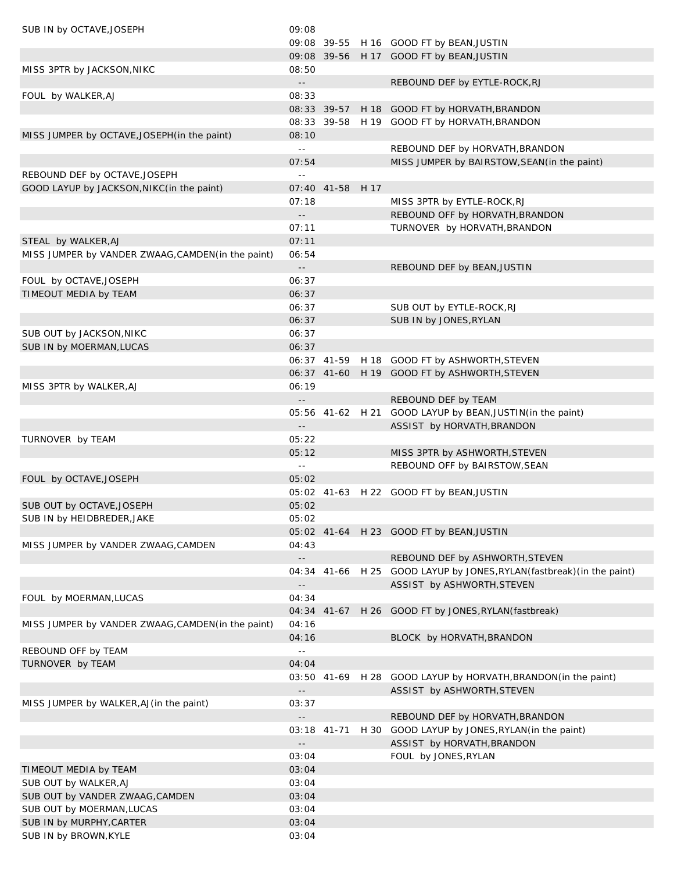| SUB IN by OCTAVE, JOSEPH                           | 09:08                                           |                  |                                                                        |
|----------------------------------------------------|-------------------------------------------------|------------------|------------------------------------------------------------------------|
|                                                    |                                                 |                  | 09:08 39-55 H 16 GOOD FT by BEAN, JUSTIN                               |
|                                                    |                                                 |                  | 09:08 39-56 H 17 GOOD FT by BEAN, JUSTIN                               |
| MISS 3PTR by JACKSON, NIKC                         | 08:50                                           |                  |                                                                        |
|                                                    | $\sim$ $\sim$                                   |                  | REBOUND DEF by EYTLE-ROCK, RJ                                          |
| FOUL by WALKER, AJ                                 | 08:33                                           |                  |                                                                        |
|                                                    |                                                 | 08:33 39-57      | H 18 GOOD FT by HORVATH, BRANDON                                       |
|                                                    |                                                 |                  | 08:33 39-58 H 19 GOOD FT by HORVATH, BRANDON                           |
| MISS JUMPER by OCTAVE, JOSEPH (in the paint)       | 08:10                                           |                  |                                                                        |
|                                                    | $\mathbb{L}^{\perp}$                            |                  | REBOUND DEF by HORVATH, BRANDON                                        |
|                                                    | 07:54                                           |                  | MISS JUMPER by BAIRSTOW, SEAN (in the paint)                           |
| REBOUND DEF by OCTAVE, JOSEPH                      | $\perp$ $\perp$                                 |                  |                                                                        |
| GOOD LAYUP by JACKSON, NIKC (in the paint)         |                                                 | 07:40 41-58 H 17 |                                                                        |
|                                                    | 07:18                                           |                  | MISS 3PTR by EYTLE-ROCK, RJ                                            |
|                                                    | $\sim$ $\sim$<br>07:11                          |                  | REBOUND OFF by HORVATH, BRANDON                                        |
| STEAL by WALKER, AJ                                | 07:11                                           |                  | TURNOVER by HORVATH, BRANDON                                           |
| MISS JUMPER by VANDER ZWAAG, CAMDEN (in the paint) | 06:54                                           |                  |                                                                        |
|                                                    | $\sim$ $\sim$                                   |                  | REBOUND DEF by BEAN, JUSTIN                                            |
| FOUL by OCTAVE, JOSEPH                             | 06:37                                           |                  |                                                                        |
| TIMEOUT MEDIA by TEAM                              | 06:37                                           |                  |                                                                        |
|                                                    | 06:37                                           |                  | SUB OUT by EYTLE-ROCK, RJ                                              |
|                                                    | 06:37                                           |                  | SUB IN by JONES, RYLAN                                                 |
| SUB OUT by JACKSON, NIKC                           | 06:37                                           |                  |                                                                        |
| SUB IN by MOERMAN, LUCAS                           | 06:37                                           |                  |                                                                        |
|                                                    |                                                 |                  | 06:37 41-59 H 18 GOOD FT by ASHWORTH, STEVEN                           |
|                                                    |                                                 |                  | 06:37 41-60 H 19 GOOD FT by ASHWORTH, STEVEN                           |
| MISS 3PTR by WALKER, AJ                            | 06:19                                           |                  |                                                                        |
|                                                    | $\sim$ $-$                                      |                  | REBOUND DEF by TEAM                                                    |
|                                                    |                                                 |                  | 05:56 41-62 H 21 GOOD LAYUP by BEAN, JUSTIN(in the paint)              |
|                                                    | $\overline{\phantom{a}}$ .                      |                  | ASSIST by HORVATH, BRANDON                                             |
| TURNOVER by TEAM                                   | 05:22                                           |                  |                                                                        |
|                                                    | 05:12                                           |                  | MISS 3PTR by ASHWORTH, STEVEN                                          |
|                                                    | $\sim$ $\sim$                                   |                  | REBOUND OFF by BAIRSTOW, SEAN                                          |
| FOUL by OCTAVE, JOSEPH                             | 05:02                                           |                  |                                                                        |
|                                                    |                                                 |                  | 05:02 41-63 H 22 GOOD FT by BEAN, JUSTIN                               |
| SUB OUT by OCTAVE, JOSEPH                          | 05:02                                           |                  |                                                                        |
| SUB IN by HEIDBREDER, JAKE                         | 05:02                                           |                  |                                                                        |
|                                                    |                                                 |                  | 05:02 41-64 H 23 GOOD FT by BEAN, JUSTIN                               |
| MISS JUMPER by VANDER ZWAAG, CAMDEN                | 04:43                                           |                  |                                                                        |
|                                                    | $\mathord{\hspace{1pt}\text{--}\hspace{1pt}}$ . |                  | REBOUND DEF by ASHWORTH, STEVEN                                        |
|                                                    |                                                 |                  | 04:34 41-66 H 25 GOOD LAYUP by JONES, RYLAN (fastbreak) (in the paint) |
| FOUL by MOERMAN, LUCAS                             | $\overline{\phantom{a}}$ –<br>04:34             |                  | ASSIST by ASHWORTH, STEVEN                                             |
|                                                    |                                                 | 04:34 41-67      | H 26 GOOD FT by JONES, RYLAN (fastbreak)                               |
| MISS JUMPER by VANDER ZWAAG, CAMDEN (in the paint) | 04:16                                           |                  |                                                                        |
|                                                    | 04:16                                           |                  | BLOCK by HORVATH, BRANDON                                              |
| REBOUND OFF by TEAM                                | $\sim$ $-$                                      |                  |                                                                        |
| TURNOVER by TEAM                                   | 04:04                                           |                  |                                                                        |
|                                                    |                                                 |                  | 03:50 41-69 H 28 GOOD LAYUP by HORVATH, BRANDON (in the paint)         |
|                                                    | $\overline{\phantom{a}}$ .                      |                  | ASSIST by ASHWORTH, STEVEN                                             |
| MISS JUMPER by WALKER, AJ (in the paint)           | 03:37                                           |                  |                                                                        |
|                                                    | $\overline{\phantom{a}}$ .                      |                  | REBOUND DEF by HORVATH, BRANDON                                        |
|                                                    |                                                 | 03:18 41-71      | H 30 GOOD LAYUP by JONES, RYLAN (in the paint)                         |
|                                                    | $ -$                                            |                  | ASSIST by HORVATH, BRANDON                                             |
|                                                    | 03:04                                           |                  | FOUL by JONES, RYLAN                                                   |
| TIMEOUT MEDIA by TEAM                              | 03:04                                           |                  |                                                                        |
| SUB OUT by WALKER, AJ                              | 03:04                                           |                  |                                                                        |
| SUB OUT by VANDER ZWAAG, CAMDEN                    | 03:04                                           |                  |                                                                        |
| SUB OUT by MOERMAN, LUCAS                          | 03:04                                           |                  |                                                                        |
| SUB IN by MURPHY, CARTER                           | 03:04                                           |                  |                                                                        |
| SUB IN by BROWN, KYLE                              | 03:04                                           |                  |                                                                        |